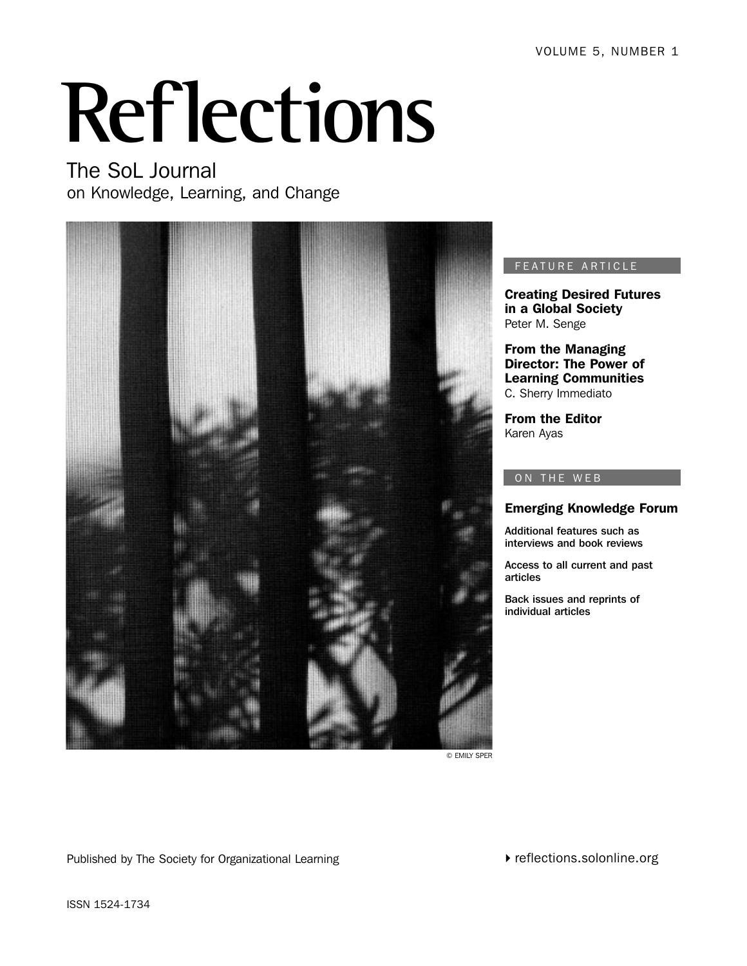# **Reflections**

The SoL Journal on Knowledge, Learning, and Change



© EMILY SPER

Published by The Society for Organizational Learning

 $\blacktriangleright$  reflections.solonline.org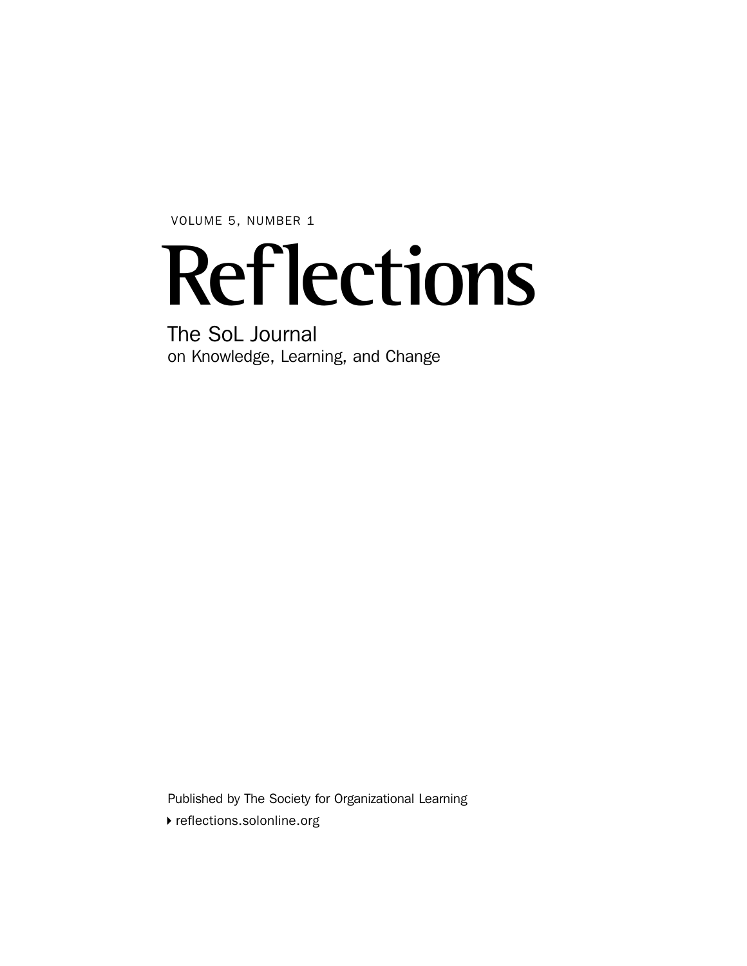VOLUME 5, NUMBER 1

# **Reflections**

The SoL Journal on Knowledge, Learning, and Change

Published by The Society for Organizational Learning

 $\blacktriangleright$  reflections.solonline.org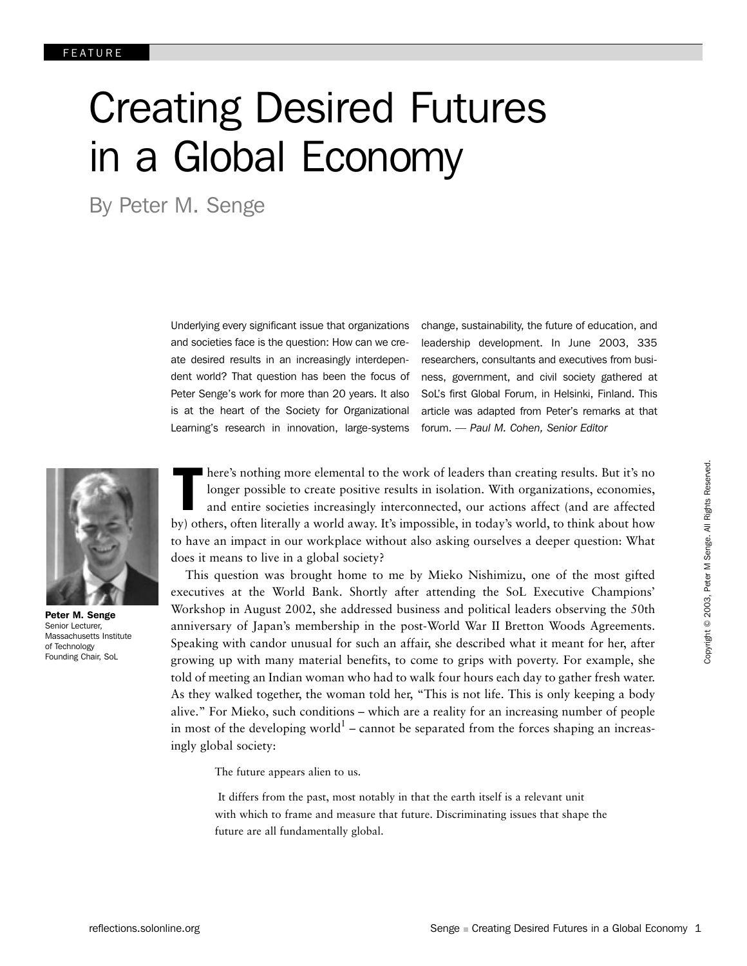# Creating Desired Futures in a Global Economy

By Peter M. Senge

Underlying every significant issue that organizations and societies face is the question: How can we create desired results in an increasingly interdependent world? That question has been the focus of Peter Senge's work for more than 20 years. It also is at the heart of the Society for Organizational Learning's research in innovation, large-systems change, sustainability, the future of education, and leadership development. In June 2003, 335 researchers, consultants and executives from business, government, and civil society gathered at SoL's first Global Forum, in Helsinki, Finland. This article was adapted from Peter's remarks at that forum. *— Paul M. Cohen, Senior Editor*



Peter M. Senge Senior Lecturer, Massachusetts Institute of Technology Founding Chair, SoL

here's nothing more elemental to the work of leaders than creating results. But it's no longer possible to create positive results in isolation. With organizations, economies, and entire societies increasingly interconnected, our actions affect (and are affected by) others, often literally a world away. It's impossible, in today's world, to think about how to have an impact in our workplace without also asking ourselves a deeper question: What does it means to live in a global society?  $\mathbf{T}$ 

This question was brought home to me by Mieko Nishimizu, one of the most gifted executives at the World Bank. Shortly after attending the SoL Executive Champions' Workshop in August 2002, she addressed business and political leaders observing the 50th anniversary of Japan's membership in the post-World War II Bretton Woods Agreements. Speaking with candor unusual for such an affair, she described what it meant for her, after growing up with many material benefits, to come to grips with poverty. For example, she told of meeting an Indian woman who had to walk four hours each day to gather fresh water. As they walked together, the woman told her, "This is not life. This is only keeping a body alive." For Mieko, such conditions – which are a reality for an increasing number of people in most of the developing world<sup>1</sup> – cannot be separated from the forces shaping an increasingly global society:

The future appears alien to us.

 It differs from the past, most notably in that the earth itself is a relevant unit with which to frame and measure that future. Discriminating issues that shape the future are all fundamentally global.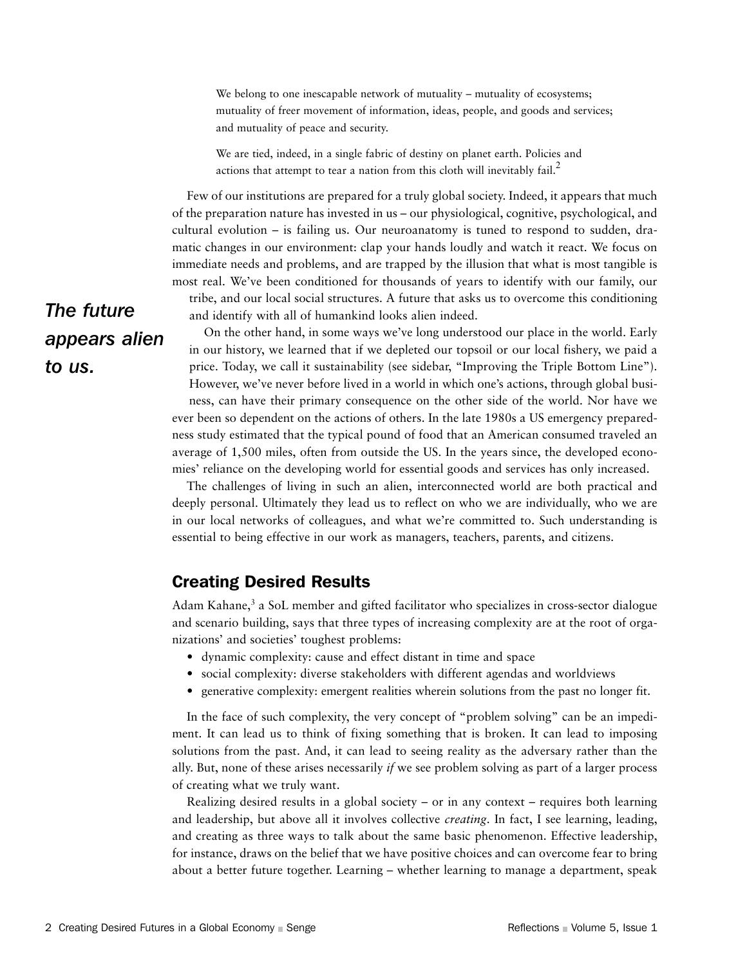We belong to one inescapable network of mutuality – mutuality of ecosystems; mutuality of freer movement of information, ideas, people, and goods and services; and mutuality of peace and security.

We are tied, indeed, in a single fabric of destiny on planet earth. Policies and actions that attempt to tear a nation from this cloth will inevitably  $fail.^2$ 

Few of our institutions are prepared for a truly global society. Indeed, it appears that much of the preparation nature has invested in us – our physiological, cognitive, psychological, and cultural evolution – is failing us. Our neuroanatomy is tuned to respond to sudden, dramatic changes in our environment: clap your hands loudly and watch it react. We focus on immediate needs and problems, and are trapped by the illusion that what is most tangible is most real. We've been conditioned for thousands of years to identify with our family, our tribe, and our local social structures. A future that asks us to overcome this conditioning

and identify with all of humankind looks alien indeed.

On the other hand, in some ways we've long understood our place in the world. Early in our history, we learned that if we depleted our topsoil or our local fishery, we paid a price. Today, we call it sustainability (see sidebar, "Improving the Triple Bottom Line"). However, we've never before lived in a world in which one's actions, through global business, can have their primary consequence on the other side of the world. Nor have we ever been so dependent on the actions of others. In the late 1980s a US emergency preparedness study estimated that the typical pound of food that an American consumed traveled an average of 1,500 miles, often from outside the US. In the years since, the developed economies' reliance on the developing world for essential goods and services has only increased.

The challenges of living in such an alien, interconnected world are both practical and deeply personal. Ultimately they lead us to reflect on who we are individually, who we are in our local networks of colleagues, and what we're committed to. Such understanding is essential to being effective in our work as managers, teachers, parents, and citizens.

## Creating Desired Results

Adam Kahane,<sup>3</sup> a SoL member and gifted facilitator who specializes in cross-sector dialogue and scenario building, says that three types of increasing complexity are at the root of organizations' and societies' toughest problems:

- dynamic complexity: cause and effect distant in time and space
- social complexity: diverse stakeholders with different agendas and worldviews
- generative complexity: emergent realities wherein solutions from the past no longer fit.

In the face of such complexity, the very concept of "problem solving" can be an impediment. It can lead us to think of fixing something that is broken. It can lead to imposing solutions from the past. And, it can lead to seeing reality as the adversary rather than the ally. But, none of these arises necessarily *if* we see problem solving as part of a larger process of creating what we truly want.

Realizing desired results in a global society – or in any context – requires both learning and leadership, but above all it involves collective *creating*. In fact, I see learning, leading, and creating as three ways to talk about the same basic phenomenon. Effective leadership, for instance, draws on the belief that we have positive choices and can overcome fear to bring about a better future together. Learning – whether learning to manage a department, speak

# *The future appears alien to us.*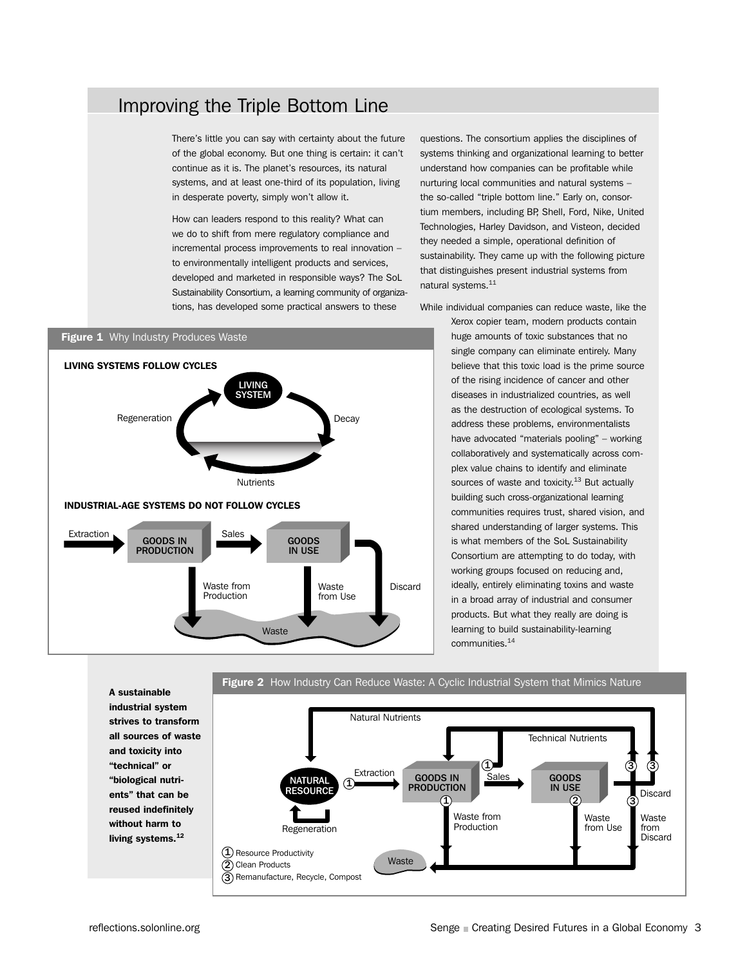# Improving the Triple Bottom Line

There's little you can say with certainty about the future of the global economy. But one thing is certain: it can't continue as it is. The planet's resources, its natural systems, and at least one-third of its population, living in desperate poverty, simply won't allow it.

How can leaders respond to this reality? What can we do to shift from mere regulatory compliance and incremental process improvements to real innovation – to environmentally intelligent products and services, developed and marketed in responsible ways? The SoL Sustainability Consortium, a learning community of organizations, has developed some practical answers to these



questions. The consortium applies the disciplines of systems thinking and organizational learning to better understand how companies can be profitable while nurturing local communities and natural systems – the so-called "triple bottom line." Early on, consortium members, including BP, Shell, Ford, Nike, United Technologies, Harley Davidson, and Visteon, decided they needed a simple, operational definition of sustainability. They came up with the following picture that distinguishes present industrial systems from natural systems.<sup>11</sup>

While individual companies can reduce waste, like the

Xerox copier team, modern products contain huge amounts of toxic substances that no single company can eliminate entirely. Many believe that this toxic load is the prime source of the rising incidence of cancer and other diseases in industrialized countries, as well as the destruction of ecological systems. To address these problems, environmentalists have advocated "materials pooling" – working collaboratively and systematically across complex value chains to identify and eliminate sources of waste and toxicity.<sup>13</sup> But actually building such cross-organizational learning communities requires trust, shared vision, and shared understanding of larger systems. This is what members of the SoL Sustainability Consortium are attempting to do today, with working groups focused on reducing and, ideally, entirely eliminating toxins and waste in a broad array of industrial and consumer products. But what they really are doing is learning to build sustainability-learning communities.14



A sustainable industrial system strives to transform all sources of waste and toxicity into "technical" or "biological nutrients" that can be reused indefinitely without harm to living systems.<sup>12</sup>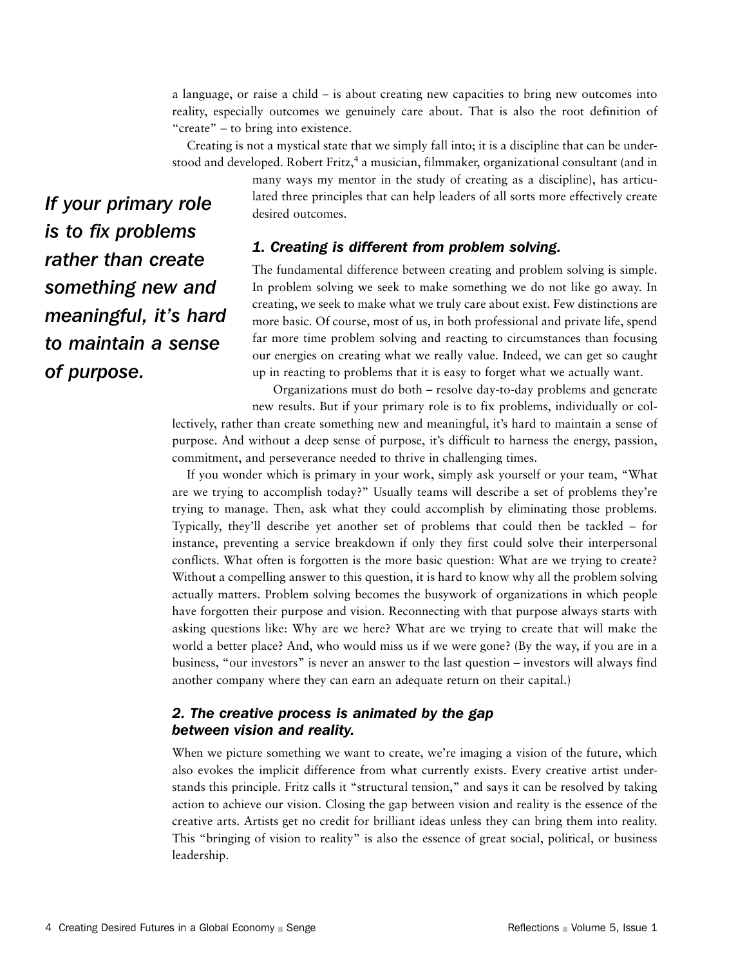a language, or raise a child – is about creating new capacities to bring new outcomes into reality, especially outcomes we genuinely care about. That is also the root definition of "create" – to bring into existence.

Creating is not a mystical state that we simply fall into; it is a discipline that can be understood and developed. Robert Fritz,<sup>4</sup> a musician, filmmaker, organizational consultant (and in

> many ways my mentor in the study of creating as a discipline), has articulated three principles that can help leaders of all sorts more effectively create desired outcomes.

#### *1. Creating is different from problem solving.*

The fundamental difference between creating and problem solving is simple. In problem solving we seek to make something we do not like go away. In creating, we seek to make what we truly care about exist. Few distinctions are more basic. Of course, most of us, in both professional and private life, spend far more time problem solving and reacting to circumstances than focusing our energies on creating what we really value. Indeed, we can get so caught up in reacting to problems that it is easy to forget what we actually want.

 Organizations must do both – resolve day-to-day problems and generate new results. But if your primary role is to fix problems, individually or col-

lectively, rather than create something new and meaningful, it's hard to maintain a sense of purpose. And without a deep sense of purpose, it's difficult to harness the energy, passion, commitment, and perseverance needed to thrive in challenging times.

If you wonder which is primary in your work, simply ask yourself or your team, "What are we trying to accomplish today?" Usually teams will describe a set of problems they're trying to manage. Then, ask what they could accomplish by eliminating those problems. Typically, they'll describe yet another set of problems that could then be tackled – for instance, preventing a service breakdown if only they first could solve their interpersonal conflicts. What often is forgotten is the more basic question: What are we trying to create? Without a compelling answer to this question, it is hard to know why all the problem solving actually matters. Problem solving becomes the busywork of organizations in which people have forgotten their purpose and vision. Reconnecting with that purpose always starts with asking questions like: Why are we here? What are we trying to create that will make the world a better place? And, who would miss us if we were gone? (By the way, if you are in a business, "our investors" is never an answer to the last question – investors will always find another company where they can earn an adequate return on their capital.)

### *2. The creative process is animated by the gap between vision and reality.*

When we picture something we want to create, we're imaging a vision of the future, which also evokes the implicit difference from what currently exists. Every creative artist understands this principle. Fritz calls it "structural tension," and says it can be resolved by taking action to achieve our vision. Closing the gap between vision and reality is the essence of the creative arts. Artists get no credit for brilliant ideas unless they can bring them into reality. This "bringing of vision to reality" is also the essence of great social, political, or business leadership.

*If your primary role is to fix problems rather than create something new and meaningful, it's hard to maintain a sense of purpose.*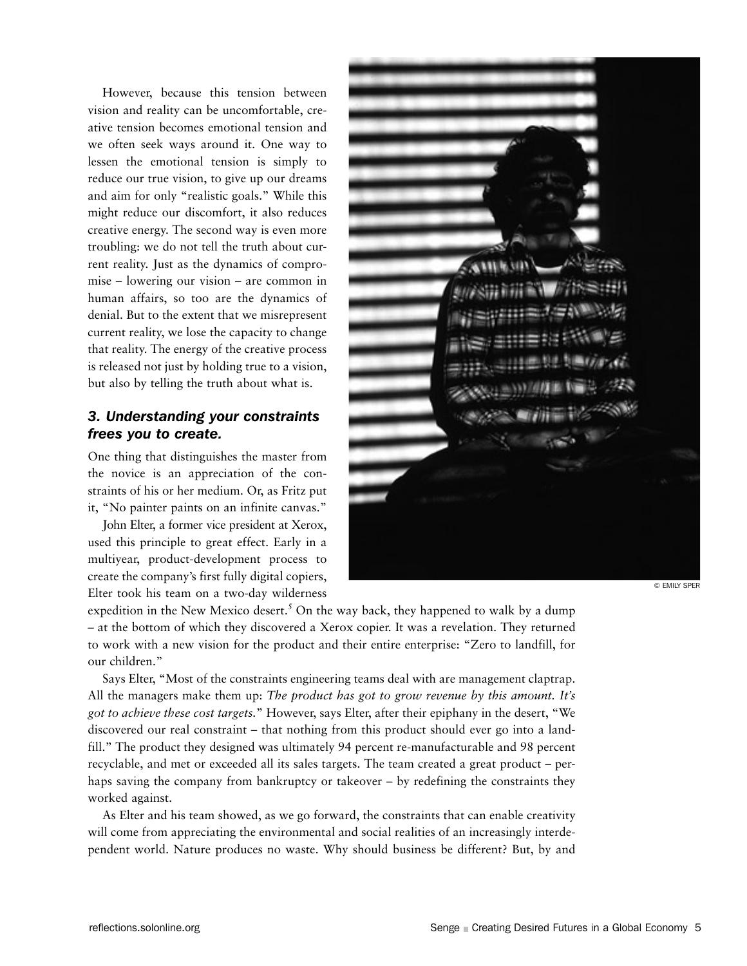However, because this tension between vision and reality can be uncomfortable, creative tension becomes emotional tension and we often seek ways around it. One way to lessen the emotional tension is simply to reduce our true vision, to give up our dreams and aim for only "realistic goals." While this might reduce our discomfort, it also reduces creative energy. The second way is even more troubling: we do not tell the truth about current reality. Just as the dynamics of compromise – lowering our vision – are common in human affairs, so too are the dynamics of denial. But to the extent that we misrepresent current reality, we lose the capacity to change that reality. The energy of the creative process is released not just by holding true to a vision, but also by telling the truth about what is.

### *3. Understanding your constraints frees you to create.*

One thing that distinguishes the master from the novice is an appreciation of the constraints of his or her medium. Or, as Fritz put it, "No painter paints on an infinite canvas."

John Elter, a former vice president at Xerox, used this principle to great effect. Early in a multiyear, product-development process to create the company's first fully digital copiers, Elter took his team on a two-day wilderness



© EMILY SPER

expedition in the New Mexico desert.<sup>5</sup> On the way back, they happened to walk by a dump – at the bottom of which they discovered a Xerox copier. It was a revelation. They returned to work with a new vision for the product and their entire enterprise: "Zero to landfill, for our children."

Says Elter, "Most of the constraints engineering teams deal with are management claptrap. All the managers make them up: *The product has got to grow revenue by this amount. It's got to achieve these cost targets.*" However, says Elter, after their epiphany in the desert, "We discovered our real constraint – that nothing from this product should ever go into a landfill." The product they designed was ultimately 94 percent re-manufacturable and 98 percent recyclable, and met or exceeded all its sales targets. The team created a great product – perhaps saving the company from bankruptcy or takeover – by redefining the constraints they worked against.

As Elter and his team showed, as we go forward, the constraints that can enable creativity will come from appreciating the environmental and social realities of an increasingly interdependent world. Nature produces no waste. Why should business be different? But, by and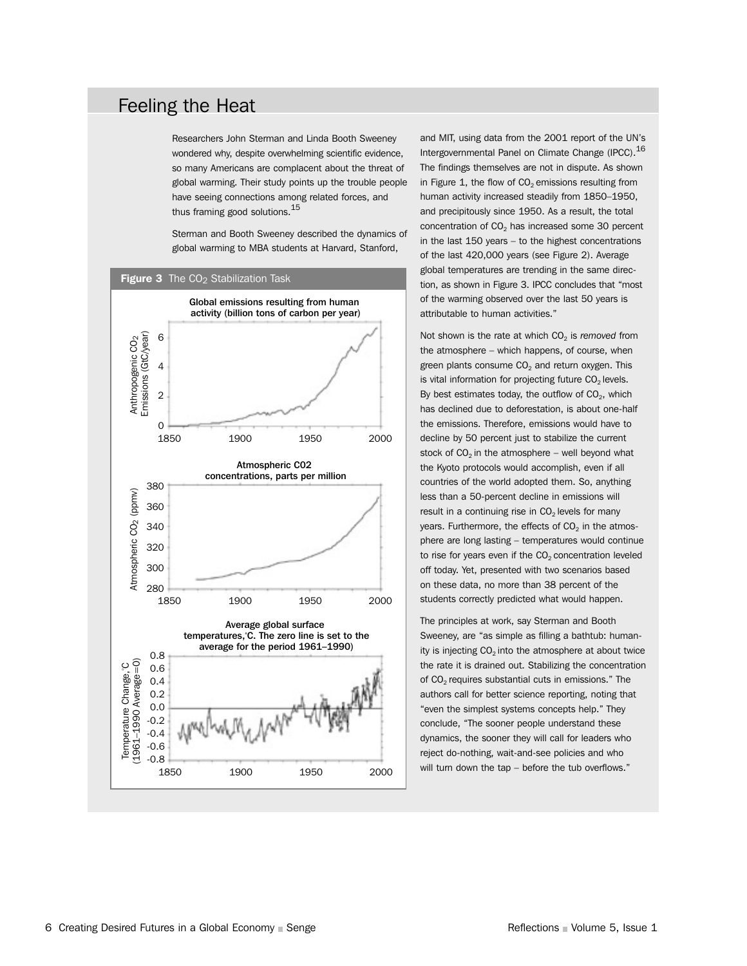# Feeling the Heat

Researchers John Sterman and Linda Booth Sweeney wondered why, despite overwhelming scientific evidence, so many Americans are complacent about the threat of global warming. Their study points up the trouble people have seeing connections among related forces, and thus framing good solutions.<sup>15</sup>



Sterman and Booth Sweeney described the dynamics of global warming to MBA students at Harvard, Stanford,

and MIT, using data from the 2001 report of the UN's Intergovernmental Panel on Climate Change (IPCC).16 The findings themselves are not in dispute. As shown in Figure 1, the flow of  $CO<sub>2</sub>$  emissions resulting from human activity increased steadily from 1850–1950, and precipitously since 1950. As a result, the total concentration of  $CO<sub>2</sub>$  has increased some 30 percent in the last 150 years – to the highest concentrations of the last 420,000 years (see Figure 2). Average global temperatures are trending in the same direction, as shown in Figure 3. IPCC concludes that "most of the warming observed over the last 50 years is attributable to human activities."

Not shown is the rate at which CO<sub>2</sub> is *removed* from the atmosphere – which happens, of course, when green plants consume  $CO<sub>2</sub>$  and return oxygen. This is vital information for projecting future  $CO<sub>2</sub>$  levels. By best estimates today, the outflow of  $CO<sub>2</sub>$ , which has declined due to deforestation, is about one-half the emissions. Therefore, emissions would have to decline by 50 percent just to stabilize the current stock of  $CO<sub>2</sub>$  in the atmosphere – well beyond what the Kyoto protocols would accomplish, even if all countries of the world adopted them. So, anything less than a 50-percent decline in emissions will result in a continuing rise in  $CO<sub>2</sub>$  levels for many years. Furthermore, the effects of  $CO<sub>2</sub>$  in the atmosphere are long lasting – temperatures would continue to rise for years even if the  $CO<sub>2</sub>$  concentration leveled off today. Yet, presented with two scenarios based on these data, no more than 38 percent of the students correctly predicted what would happen.

The principles at work, say Sterman and Booth Sweeney, are "as simple as filling a bathtub: humanity is injecting  $CO<sub>2</sub>$  into the atmosphere at about twice the rate it is drained out. Stabilizing the concentration of  $CO<sub>2</sub>$  requires substantial cuts in emissions." The authors call for better science reporting, noting that "even the simplest systems concepts help." They conclude, "The sooner people understand these dynamics, the sooner they will call for leaders who reject do-nothing, wait-and-see policies and who will turn down the tap – before the tub overflows."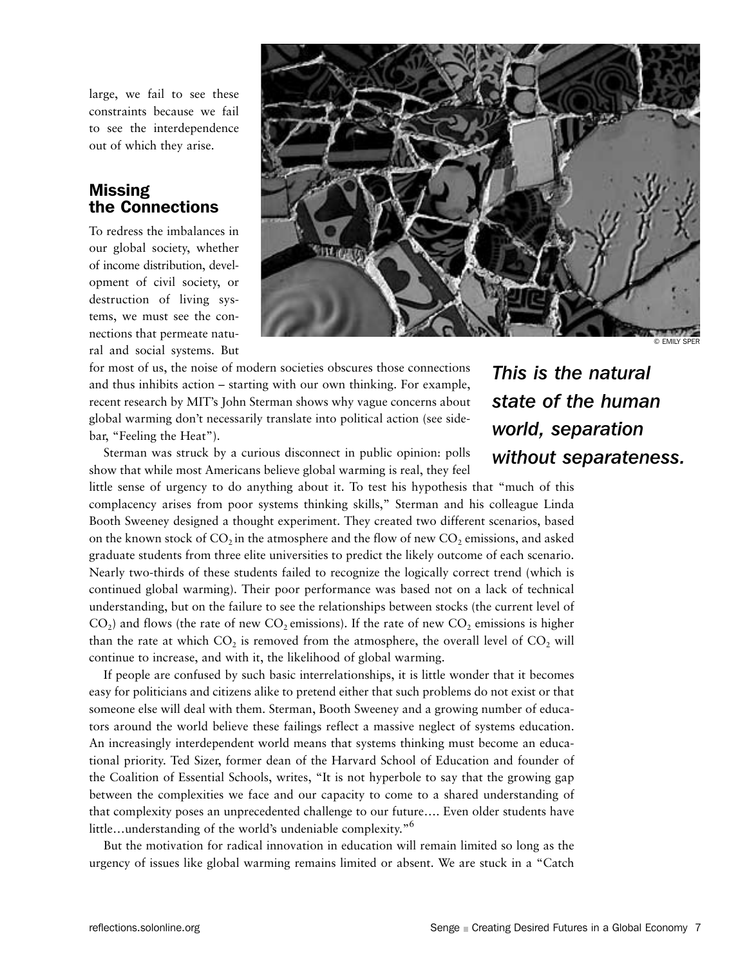large, we fail to see these constraints because we fail to see the interdependence out of which they arise.

# Missing the Connections

To redress the imbalances in our global society, whether of income distribution, development of civil society, or destruction of living systems, we must see the connections that permeate natural and social systems. But



© EMILY SPER

*This is the natural* 

*state of the human* 

*without separateness.*

*world, separation* 

for most of us, the noise of modern societies obscures those connections and thus inhibits action – starting with our own thinking. For example, recent research by MIT's John Sterman shows why vague concerns about global warming don't necessarily translate into political action (see sidebar, "Feeling the Heat").

Sterman was struck by a curious disconnect in public opinion: polls show that while most Americans believe global warming is real, they feel

little sense of urgency to do anything about it. To test his hypothesis that "much of this complacency arises from poor systems thinking skills," Sterman and his colleague Linda Booth Sweeney designed a thought experiment. They created two different scenarios, based on the known stock of  $CO_2$  in the atmosphere and the flow of new  $CO_2$  emissions, and asked graduate students from three elite universities to predict the likely outcome of each scenario. Nearly two-thirds of these students failed to recognize the logically correct trend (which is continued global warming). Their poor performance was based not on a lack of technical understanding, but on the failure to see the relationships between stocks (the current level of  $CO<sub>2</sub>$ ) and flows (the rate of new  $CO<sub>2</sub>$  emissions). If the rate of new  $CO<sub>2</sub>$  emissions is higher than the rate at which  $CO_2$  is removed from the atmosphere, the overall level of  $CO_2$  will continue to increase, and with it, the likelihood of global warming.

If people are confused by such basic interrelationships, it is little wonder that it becomes easy for politicians and citizens alike to pretend either that such problems do not exist or that someone else will deal with them. Sterman, Booth Sweeney and a growing number of educators around the world believe these failings reflect a massive neglect of systems education. An increasingly interdependent world means that systems thinking must become an educational priority. Ted Sizer, former dean of the Harvard School of Education and founder of the Coalition of Essential Schools, writes, "It is not hyperbole to say that the growing gap between the complexities we face and our capacity to come to a shared understanding of that complexity poses an unprecedented challenge to our future…. Even older students have little…understanding of the world's undeniable complexity."<sup>6</sup>

But the motivation for radical innovation in education will remain limited so long as the urgency of issues like global warming remains limited or absent. We are stuck in a "Catch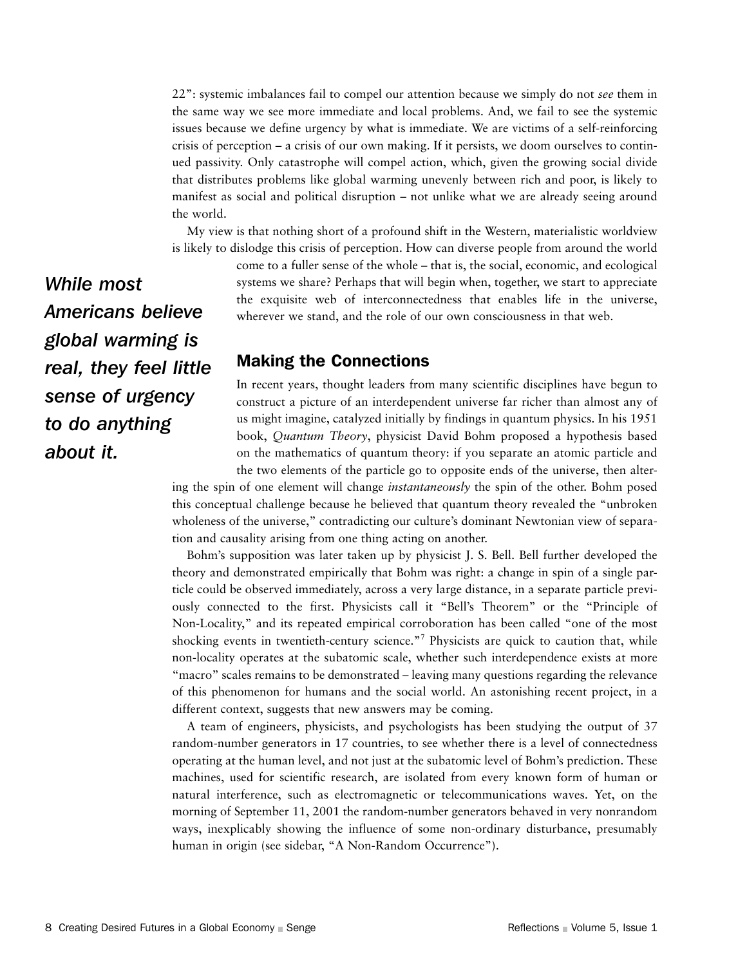22": systemic imbalances fail to compel our attention because we simply do not *see* them in the same way we see more immediate and local problems. And, we fail to see the systemic issues because we define urgency by what is immediate. We are victims of a self-reinforcing crisis of perception – a crisis of our own making. If it persists, we doom ourselves to continued passivity. Only catastrophe will compel action, which, given the growing social divide that distributes problems like global warming unevenly between rich and poor, is likely to manifest as social and political disruption – not unlike what we are already seeing around the world.

My view is that nothing short of a profound shift in the Western, materialistic worldview is likely to dislodge this crisis of perception. How can diverse people from around the world

> come to a fuller sense of the whole – that is, the social, economic, and ecological systems we share? Perhaps that will begin when, together, we start to appreciate the exquisite web of interconnectedness that enables life in the universe, wherever we stand, and the role of our own consciousness in that web.

## Making the Connections

In recent years, thought leaders from many scientific disciplines have begun to construct a picture of an interdependent universe far richer than almost any of us might imagine, catalyzed initially by findings in quantum physics. In his 1951 book, *Quantum Theory*, physicist David Bohm proposed a hypothesis based on the mathematics of quantum theory: if you separate an atomic particle and the two elements of the particle go to opposite ends of the universe, then alter-

ing the spin of one element will change *instantaneously* the spin of the other. Bohm posed this conceptual challenge because he believed that quantum theory revealed the "unbroken wholeness of the universe," contradicting our culture's dominant Newtonian view of separation and causality arising from one thing acting on another.

Bohm's supposition was later taken up by physicist J. S. Bell. Bell further developed the theory and demonstrated empirically that Bohm was right: a change in spin of a single particle could be observed immediately, across a very large distance, in a separate particle previously connected to the first. Physicists call it "Bell's Theorem" or the "Principle of Non-Locality," and its repeated empirical corroboration has been called "one of the most shocking events in twentieth-century science."<sup>7</sup> Physicists are quick to caution that, while non-locality operates at the subatomic scale, whether such interdependence exists at more "macro" scales remains to be demonstrated – leaving many questions regarding the relevance of this phenomenon for humans and the social world. An astonishing recent project, in a different context, suggests that new answers may be coming.

A team of engineers, physicists, and psychologists has been studying the output of 37 random-number generators in 17 countries, to see whether there is a level of connectedness operating at the human level, and not just at the subatomic level of Bohm's prediction. These machines, used for scientific research, are isolated from every known form of human or natural interference, such as electromagnetic or telecommunications waves. Yet, on the morning of September 11, 2001 the random-number generators behaved in very nonrandom ways, inexplicably showing the influence of some non-ordinary disturbance, presumably human in origin (see sidebar, "A Non-Random Occurrence").

*While most Americans believe global warming is real, they feel little sense of urgency to do anything about it.*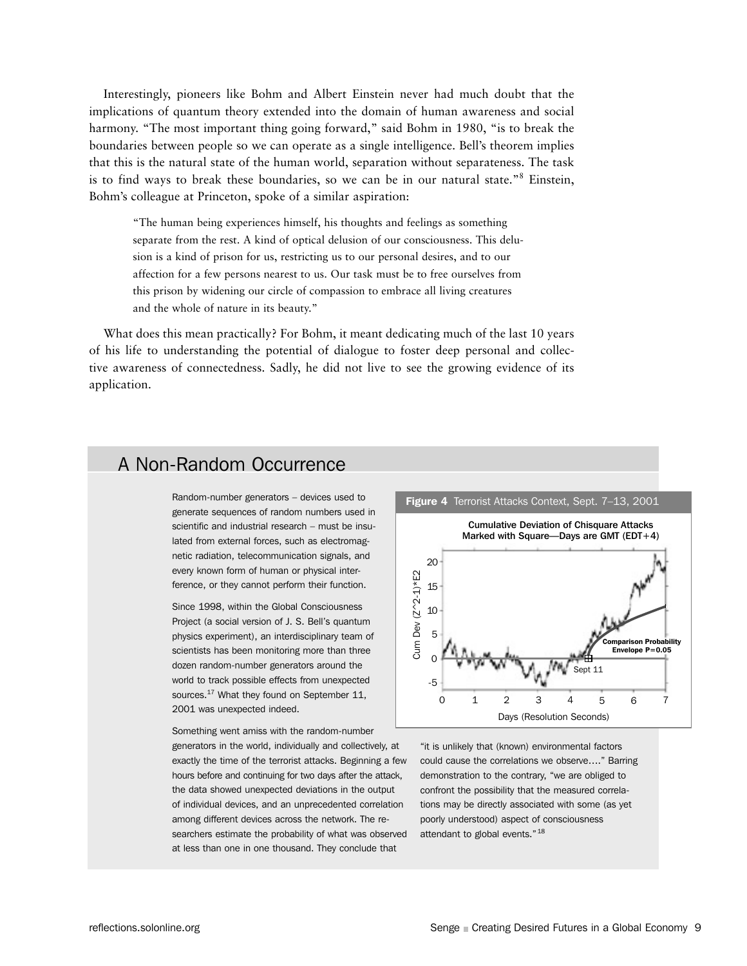Interestingly, pioneers like Bohm and Albert Einstein never had much doubt that the implications of quantum theory extended into the domain of human awareness and social harmony. "The most important thing going forward," said Bohm in 1980, "is to break the boundaries between people so we can operate as a single intelligence. Bell's theorem implies that this is the natural state of the human world, separation without separateness. The task is to find ways to break these boundaries, so we can be in our natural state."8 Einstein, Bohm's colleague at Princeton, spoke of a similar aspiration:

"The human being experiences himself, his thoughts and feelings as something separate from the rest. A kind of optical delusion of our consciousness. This delusion is a kind of prison for us, restricting us to our personal desires, and to our affection for a few persons nearest to us. Our task must be to free ourselves from this prison by widening our circle of compassion to embrace all living creatures and the whole of nature in its beauty."

What does this mean practically? For Bohm, it meant dedicating much of the last 10 years of his life to understanding the potential of dialogue to foster deep personal and collective awareness of connectedness. Sadly, he did not live to see the growing evidence of its application.

# A Non-Random Occurrence

Random-number generators – devices used to generate sequences of random numbers used in scientific and industrial research – must be insulated from external forces, such as electromagnetic radiation, telecommunication signals, and every known form of human or physical interference, or they cannot perform their function.

Since 1998, within the Global Consciousness Project (a social version of J. S. Bell's quantum physics experiment), an interdisciplinary team of scientists has been monitoring more than three dozen random-number generators around the world to track possible effects from unexpected sources.<sup>17</sup> What they found on September 11, 2001 was unexpected indeed.

Something went amiss with the random-number generators in the world, individually and collectively, at exactly the time of the terrorist attacks. Beginning a few hours before and continuing for two days after the attack, the data showed unexpected deviations in the output of individual devices, and an unprecedented correlation among different devices across the network. The researchers estimate the probability of what was observed at less than one in one thousand. They conclude that



"it is unlikely that (known) environmental factors could cause the correlations we observe…." Barring demonstration to the contrary, "we are obliged to confront the possibility that the measured correlations may be directly associated with some (as yet poorly understood) aspect of consciousness attendant to global events."<sup>18</sup>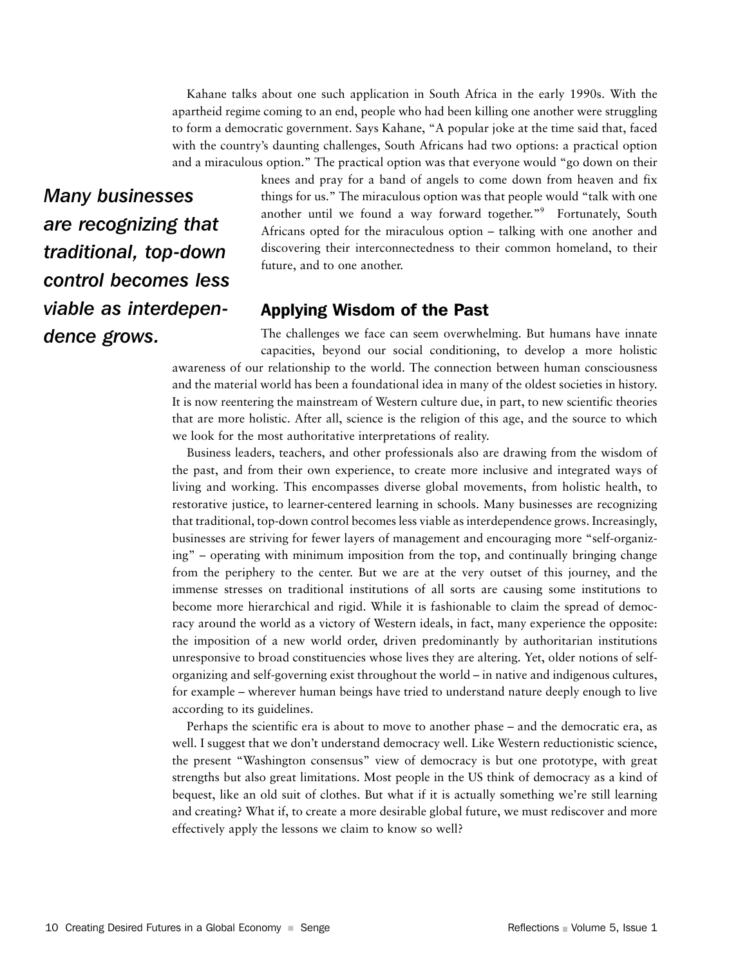Kahane talks about one such application in South Africa in the early 1990s. With the apartheid regime coming to an end, people who had been killing one another were struggling to form a democratic government. Says Kahane, "A popular joke at the time said that, faced with the country's daunting challenges, South Africans had two options: a practical option and a miraculous option." The practical option was that everyone would "go down on their

*Many businesses are recognizing that traditional, top-down control becomes less viable as interdependence grows.*

knees and pray for a band of angels to come down from heaven and fix things for us." The miraculous option was that people would "talk with one another until we found a way forward together."<sup>9</sup> Fortunately, South Africans opted for the miraculous option – talking with one another and discovering their interconnectedness to their common homeland, to their future, and to one another.

### Applying Wisdom of the Past

The challenges we face can seem overwhelming. But humans have innate capacities, beyond our social conditioning, to develop a more holistic awareness of our relationship to the world. The connection between human consciousness and the material world has been a foundational idea in many of the oldest societies in history. It is now reentering the mainstream of Western culture due, in part, to new scientific theories that are more holistic. After all, science is the religion of this age, and the source to which we look for the most authoritative interpretations of reality.

Business leaders, teachers, and other professionals also are drawing from the wisdom of the past, and from their own experience, to create more inclusive and integrated ways of living and working. This encompasses diverse global movements, from holistic health, to restorative justice, to learner-centered learning in schools. Many businesses are recognizing that traditional, top-down control becomes less viable as interdependence grows. Increasingly, businesses are striving for fewer layers of management and encouraging more "self-organizing" – operating with minimum imposition from the top, and continually bringing change from the periphery to the center. But we are at the very outset of this journey, and the immense stresses on traditional institutions of all sorts are causing some institutions to become more hierarchical and rigid. While it is fashionable to claim the spread of democracy around the world as a victory of Western ideals, in fact, many experience the opposite: the imposition of a new world order, driven predominantly by authoritarian institutions unresponsive to broad constituencies whose lives they are altering. Yet, older notions of selforganizing and self-governing exist throughout the world – in native and indigenous cultures, for example – wherever human beings have tried to understand nature deeply enough to live according to its guidelines.

Perhaps the scientific era is about to move to another phase – and the democratic era, as well. I suggest that we don't understand democracy well. Like Western reductionistic science, the present "Washington consensus" view of democracy is but one prototype, with great strengths but also great limitations. Most people in the US think of democracy as a kind of bequest, like an old suit of clothes. But what if it is actually something we're still learning and creating? What if, to create a more desirable global future, we must rediscover and more effectively apply the lessons we claim to know so well?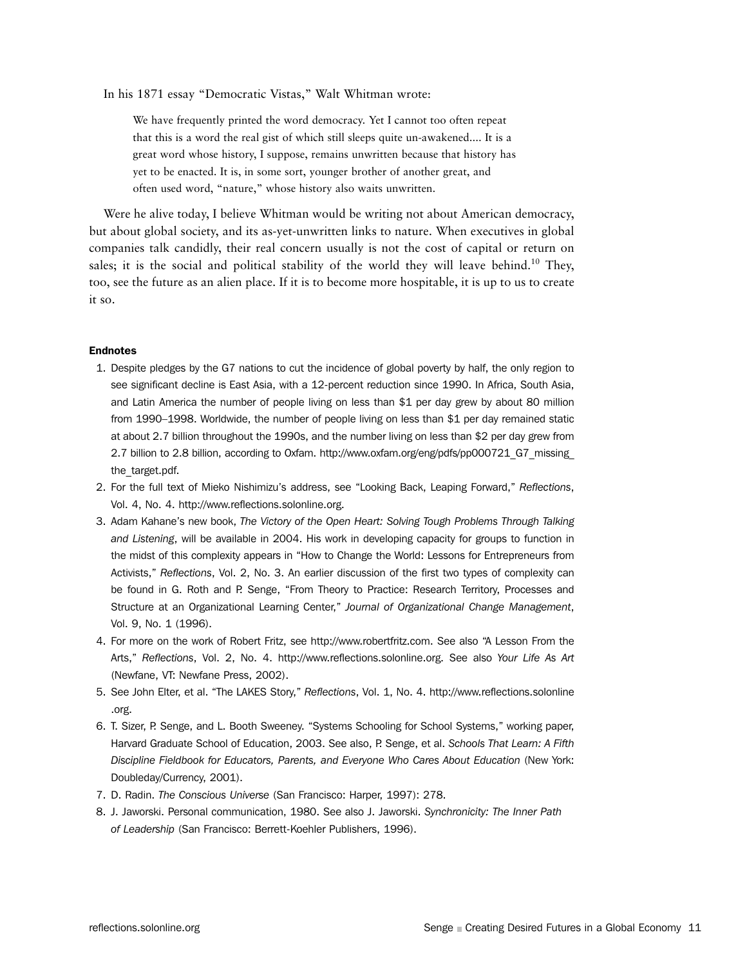In his 1871 essay "Democratic Vistas," Walt Whitman wrote:

We have frequently printed the word democracy. Yet I cannot too often repeat that this is a word the real gist of which still sleeps quite un-awakened.... It is a great word whose history, I suppose, remains unwritten because that history has yet to be enacted. It is, in some sort, younger brother of another great, and often used word, "nature," whose history also waits unwritten.

Were he alive today, I believe Whitman would be writing not about American democracy, but about global society, and its as-yet-unwritten links to nature. When executives in global companies talk candidly, their real concern usually is not the cost of capital or return on sales; it is the social and political stability of the world they will leave behind.<sup>10</sup> They, too, see the future as an alien place. If it is to become more hospitable, it is up to us to create it so.

#### Endnotes

- 1. Despite pledges by the G7 nations to cut the incidence of global poverty by half, the only region to see significant decline is East Asia, with a 12-percent reduction since 1990. In Africa, South Asia, and Latin America the number of people living on less than \$1 per day grew by about 80 million from 1990–1998. Worldwide, the number of people living on less than \$1 per day remained static at about 2.7 billion throughout the 1990s, and the number living on less than \$2 per day grew from 2.7 billion to 2.8 billion, according to Oxfam. http://www.oxfam.org/eng/pdfs/pp000721\_G7\_missing the target.pdf.
- 2. For the full text of Mieko Nishimizu's address, see "Looking Back, Leaping Forward," *Reflections*, Vol. 4, No. 4. http://www.reflections.solonline.org.
- 3. Adam Kahane's new book, *The Victory of the Open Heart: Solving Tough Problems Through Talking and Listening*, will be available in 2004. His work in developing capacity for groups to function in the midst of this complexity appears in "How to Change the World: Lessons for Entrepreneurs from Activists," *Reflections*, Vol. 2, No. 3. An earlier discussion of the first two types of complexity can be found in G. Roth and P. Senge, "From Theory to Practice: Research Territory, Processes and Structure at an Organizational Learning Center," *Journal of Organizational Change Management*, Vol. 9, No. 1 (1996).
- 4. For more on the work of Robert Fritz, see http://www.robertfritz.com. See also "A Lesson From the Arts," *Reflections*, Vol. 2, No. 4. http://www.reflections.solonline.org. See also *Your Life As Art*  (Newfane, VT: Newfane Press, 2002).
- 5. See John Elter, et al. "The LAKES Story," *Reflections*, Vol. 1, No. 4. http://www.reflections.solonline .org.
- 6. T. Sizer, P. Senge, and L. Booth Sweeney. "Systems Schooling for School Systems," working paper, Harvard Graduate School of Education, 2003. See also, P. Senge, et al. *Schools That Learn: A Fifth Discipline Fieldbook for Educators, Parents, and Everyone Who Cares About Education* (New York: Doubleday/Currency, 2001).
- 7. D. Radin. *The Conscious Universe* (San Francisco: Harper, 1997): 278.
- 8. J. Jaworski. Personal communication, 1980. See also J. Jaworski. *Synchronicity: The Inner Path of Leadership* (San Francisco: Berrett-Koehler Publishers, 1996).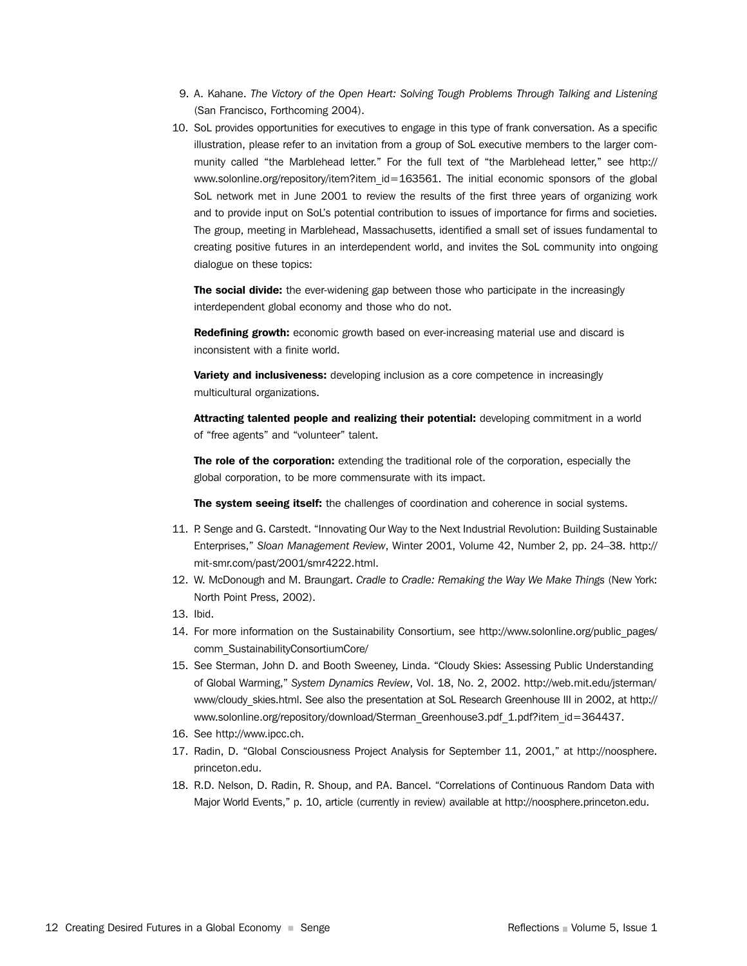- 9. A. Kahane. *The Victory of the Open Heart: Solving Tough Problems Through Talking and Listening* (San Francisco, Forthcoming 2004).
- 10. SoL provides opportunities for executives to engage in this type of frank conversation. As a specific illustration, please refer to an invitation from a group of SoL executive members to the larger community called "the Marblehead letter." For the full text of "the Marblehead letter," see http:// www.solonline.org/repository/item?item\_id=163561. The initial economic sponsors of the global SoL network met in June 2001 to review the results of the first three years of organizing work and to provide input on SoL's potential contribution to issues of importance for firms and societies. The group, meeting in Marblehead, Massachusetts, identified a small set of issues fundamental to creating positive futures in an interdependent world, and invites the SoL community into ongoing dialogue on these topics:

The social divide: the ever-widening gap between those who participate in the increasingly interdependent global economy and those who do not.

Redefining growth: economic growth based on ever-increasing material use and discard is inconsistent with a finite world.

Variety and inclusiveness: developing inclusion as a core competence in increasingly multicultural organizations.

Attracting talented people and realizing their potential: developing commitment in a world of "free agents" and "volunteer" talent.

The role of the corporation: extending the traditional role of the corporation, especially the global corporation, to be more commensurate with its impact.

The system seeing itself: the challenges of coordination and coherence in social systems.

- 11. P. Senge and G. Carstedt. "Innovating Our Way to the Next Industrial Revolution: Building Sustainable Enterprises," *Sloan Management Review*, Winter 2001, Volume 42, Number 2, pp. 24–38. http:// mit-smr.com/past/2001/smr4222.html.
- 12. W. McDonough and M. Braungart. *Cradle to Cradle: Remaking the Way We Make Things* (New York: North Point Press, 2002).
- 13. Ibid.
- 14. For more information on the Sustainability Consortium, see http://www.solonline.org/public\_pages/ comm\_SustainabilityConsortiumCore/
- 15. See Sterman, John D. and Booth Sweeney, Linda. "Cloudy Skies: Assessing Public Understanding of Global Warming," *System Dynamics Review*, Vol. 18, No. 2, 2002. http://web.mit.edu/jsterman/ www/cloudy skies.html. See also the presentation at SoL Research Greenhouse III in 2002, at http:// www.solonline.org/repository/download/Sterman\_Greenhouse3.pdf\_1.pdf?item\_id=364437.
- 16. See http://www.ipcc.ch.
- 17. Radin, D. "Global Consciousness Project Analysis for September 11, 2001," at http://noosphere. princeton.edu.
- 18. R.D. Nelson, D. Radin, R. Shoup, and P.A. Bancel. "Correlations of Continuous Random Data with Major World Events," p. 10, article (currently in review) available at http://noosphere.princeton.edu.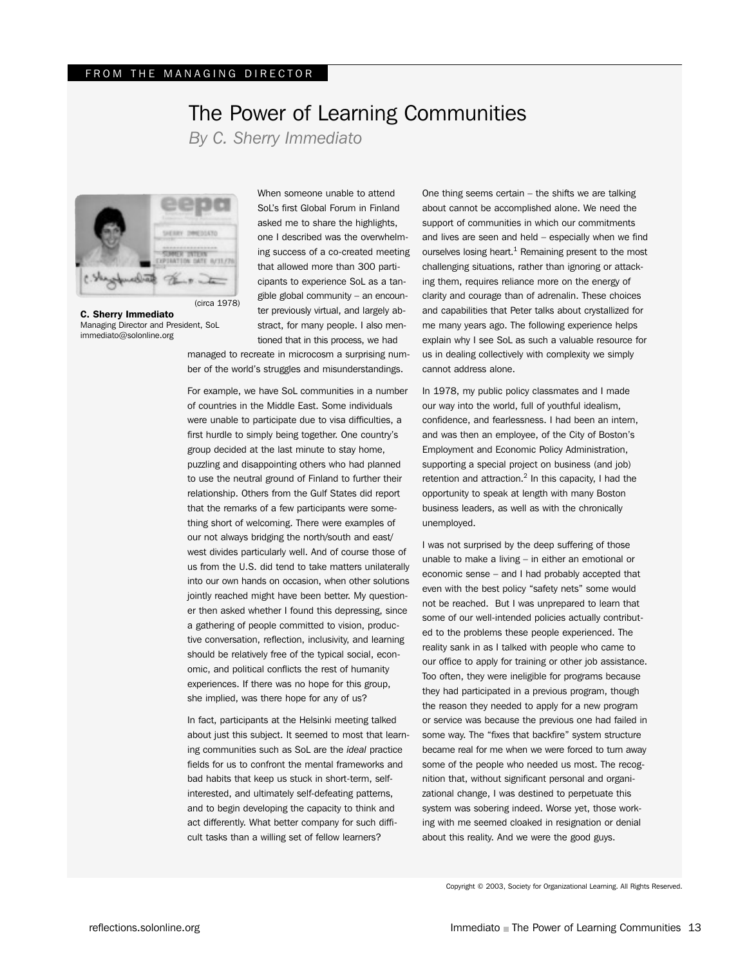# The Power of Learning Communities *By C. Sherry Immediato*



C. Sherry Immediato Managing Director and President, SoL immediato@solonline.org

When someone unable to attend SoL's first Global Forum in Finland asked me to share the highlights, one I described was the overwhelming success of a co-created meeting that allowed more than 300 participants to experience SoL as a tangible global community – an encounter previously virtual, and largely abstract, for many people. I also mentioned that in this process, we had

managed to recreate in microcosm a surprising number of the world's struggles and misunderstandings.

For example, we have SoL communities in a number of countries in the Middle East. Some individuals were unable to participate due to visa difficulties, a first hurdle to simply being together. One country's group decided at the last minute to stay home, puzzling and disappointing others who had planned to use the neutral ground of Finland to further their relationship. Others from the Gulf States did report that the remarks of a few participants were something short of welcoming. There were examples of our not always bridging the north/south and east/ west divides particularly well. And of course those of us from the U.S. did tend to take matters unilaterally into our own hands on occasion, when other solutions jointly reached might have been better. My questioner then asked whether I found this depressing, since a gathering of people committed to vision, productive conversation, reflection, inclusivity, and learning should be relatively free of the typical social, economic, and political conflicts the rest of humanity experiences. If there was no hope for this group, she implied, was there hope for any of us?

In fact, participants at the Helsinki meeting talked about just this subject. It seemed to most that learning communities such as SoL are the *ideal* practice fields for us to confront the mental frameworks and bad habits that keep us stuck in short-term, selfinterested, and ultimately self-defeating patterns, and to begin developing the capacity to think and act differently. What better company for such difficult tasks than a willing set of fellow learners?

One thing seems certain – the shifts we are talking about cannot be accomplished alone. We need the support of communities in which our commitments and lives are seen and held – especially when we find ourselves losing heart. $1$  Remaining present to the most challenging situations, rather than ignoring or attacking them, requires reliance more on the energy of clarity and courage than of adrenalin. These choices and capabilities that Peter talks about crystallized for me many years ago. The following experience helps explain why I see SoL as such a valuable resource for us in dealing collectively with complexity we simply cannot address alone.

In 1978, my public policy classmates and I made our way into the world, full of youthful idealism, confidence, and fearlessness. I had been an intern, and was then an employee, of the City of Boston's Employment and Economic Policy Administration, supporting a special project on business (and job) retention and attraction. $2$  In this capacity, I had the opportunity to speak at length with many Boston business leaders, as well as with the chronically unemployed.

I was not surprised by the deep suffering of those unable to make a living – in either an emotional or economic sense – and I had probably accepted that even with the best policy "safety nets" some would not be reached. But I was unprepared to learn that some of our well-intended policies actually contributed to the problems these people experienced. The reality sank in as I talked with people who came to our office to apply for training or other job assistance. Too often, they were ineligible for programs because they had participated in a previous program, though the reason they needed to apply for a new program or service was because the previous one had failed in some way. The "fixes that backfire" system structure became real for me when we were forced to turn away some of the people who needed us most. The recognition that, without significant personal and organizational change, I was destined to perpetuate this system was sobering indeed. Worse yet, those working with me seemed cloaked in resignation or denial about this reality. And we were the good guys.

Copyright © 2003, Society for Organizational Learning. All Rights Reserved.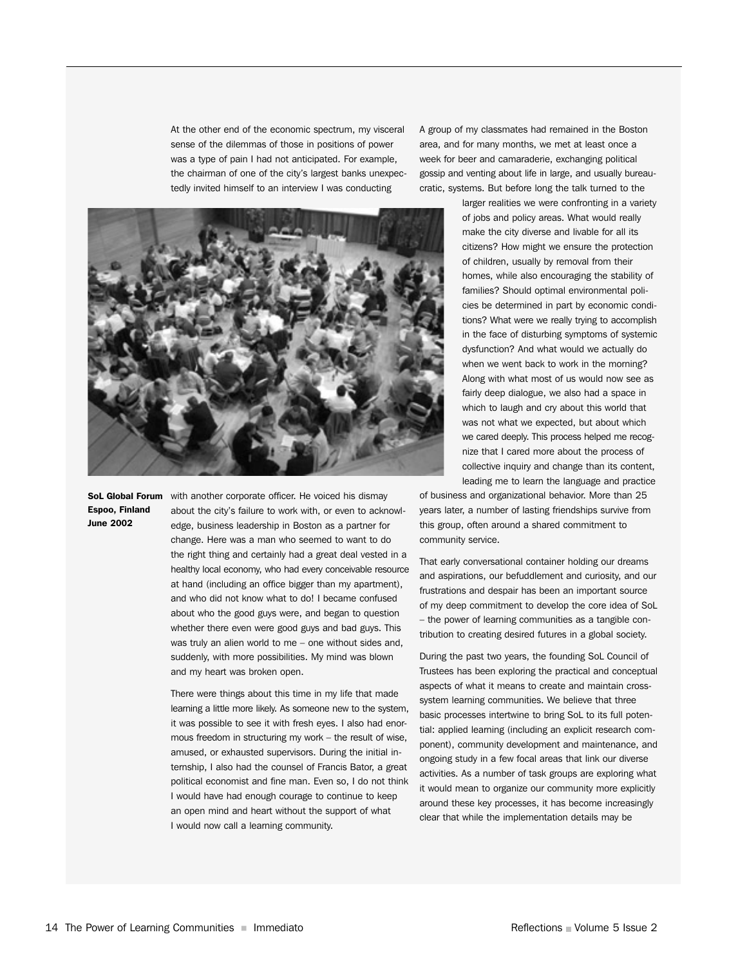At the other end of the economic spectrum, my visceral sense of the dilemmas of those in positions of power was a type of pain I had not anticipated. For example, the chairman of one of the city's largest banks unexpectedly invited himself to an interview I was conducting

A group of my classmates had remained in the Boston area, and for many months, we met at least once a week for beer and camaraderie, exchanging political gossip and venting about life in large, and usually bureaucratic, systems. But before long the talk turned to the



Espoo, Finland June 2002

SoL Global Forum with another corporate officer. He voiced his dismay about the city's failure to work with, or even to acknowledge, business leadership in Boston as a partner for change. Here was a man who seemed to want to do the right thing and certainly had a great deal vested in a healthy local economy, who had every conceivable resource at hand (including an office bigger than my apartment), and who did not know what to do! I became confused about who the good guys were, and began to question whether there even were good guys and bad guys. This was truly an alien world to me – one without sides and, suddenly, with more possibilities. My mind was blown and my heart was broken open.

> There were things about this time in my life that made learning a little more likely. As someone new to the system, it was possible to see it with fresh eyes. I also had enormous freedom in structuring my work – the result of wise, amused, or exhausted supervisors. During the initial internship, I also had the counsel of Francis Bator, a great political economist and fine man. Even so, I do not think I would have had enough courage to continue to keep an open mind and heart without the support of what I would now call a learning community.

larger realities we were confronting in a variety of jobs and policy areas. What would really make the city diverse and livable for all its citizens? How might we ensure the protection of children, usually by removal from their homes, while also encouraging the stability of families? Should optimal environmental policies be determined in part by economic conditions? What were we really trying to accomplish in the face of disturbing symptoms of systemic dysfunction? And what would we actually do when we went back to work in the morning? Along with what most of us would now see as fairly deep dialogue, we also had a space in which to laugh and cry about this world that was not what we expected, but about which we cared deeply. This process helped me recognize that I cared more about the process of collective inquiry and change than its content, leading me to learn the language and practice

of business and organizational behavior. More than 25 years later, a number of lasting friendships survive from this group, often around a shared commitment to community service.

That early conversational container holding our dreams and aspirations, our befuddlement and curiosity, and our frustrations and despair has been an important source of my deep commitment to develop the core idea of SoL – the power of learning communities as a tangible contribution to creating desired futures in a global society.

During the past two years, the founding SoL Council of Trustees has been exploring the practical and conceptual aspects of what it means to create and maintain crosssystem learning communities. We believe that three basic processes intertwine to bring SoL to its full potential: applied learning (including an explicit research component), community development and maintenance, and ongoing study in a few focal areas that link our diverse activities. As a number of task groups are exploring what it would mean to organize our community more explicitly around these key processes, it has become increasingly clear that while the implementation details may be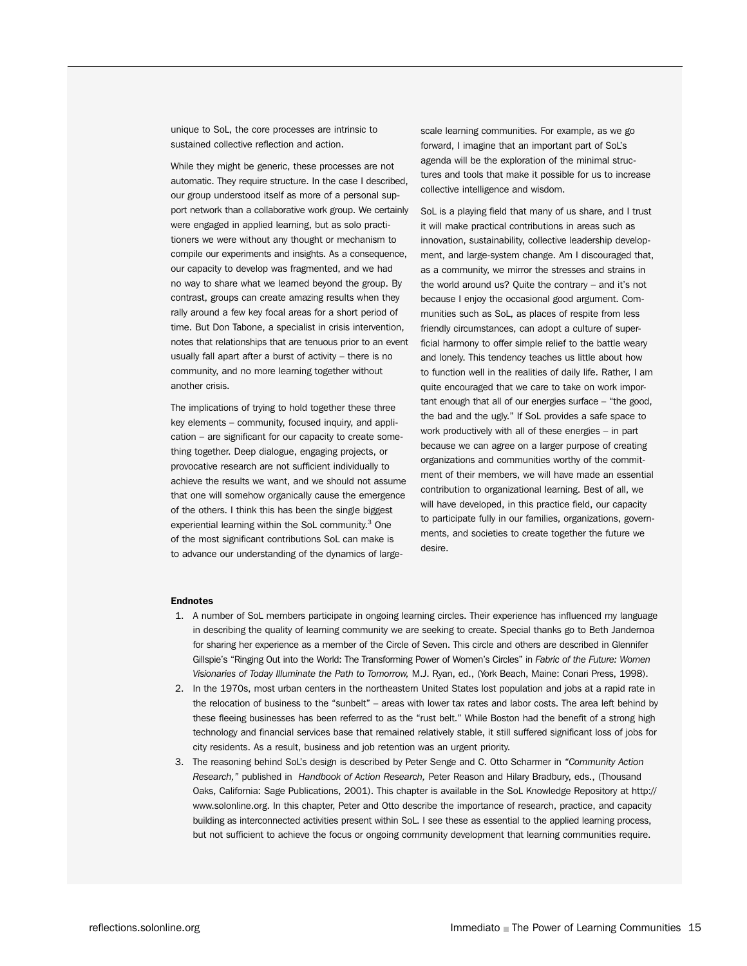unique to SoL, the core processes are intrinsic to sustained collective reflection and action.

While they might be generic, these processes are not automatic. They require structure. In the case I described, our group understood itself as more of a personal support network than a collaborative work group. We certainly were engaged in applied learning, but as solo practitioners we were without any thought or mechanism to compile our experiments and insights. As a consequence, our capacity to develop was fragmented, and we had no way to share what we learned beyond the group. By contrast, groups can create amazing results when they rally around a few key focal areas for a short period of time. But Don Tabone, a specialist in crisis intervention, notes that relationships that are tenuous prior to an event usually fall apart after a burst of activity – there is no community, and no more learning together without another crisis.

The implications of trying to hold together these three key elements – community, focused inquiry, and application – are significant for our capacity to create something together. Deep dialogue, engaging projects, or provocative research are not sufficient individually to achieve the results we want, and we should not assume that one will somehow organically cause the emergence of the others. I think this has been the single biggest experiential learning within the SoL community.<sup>3</sup> One of the most significant contributions SoL can make is to advance our understanding of the dynamics of large-

scale learning communities. For example, as we go forward, I imagine that an important part of SoL's agenda will be the exploration of the minimal structures and tools that make it possible for us to increase collective intelligence and wisdom.

SoL is a playing field that many of us share, and I trust it will make practical contributions in areas such as innovation, sustainability, collective leadership development, and large-system change. Am I discouraged that, as a community, we mirror the stresses and strains in the world around us? Quite the contrary – and it's not because I enjoy the occasional good argument. Communities such as SoL, as places of respite from less friendly circumstances, can adopt a culture of superficial harmony to offer simple relief to the battle weary and lonely. This tendency teaches us little about how to function well in the realities of daily life. Rather, I am quite encouraged that we care to take on work important enough that all of our energies surface – "the good, the bad and the ugly." If SoL provides a safe space to work productively with all of these energies – in part because we can agree on a larger purpose of creating organizations and communities worthy of the commitment of their members, we will have made an essential contribution to organizational learning. Best of all, we will have developed, in this practice field, our capacity to participate fully in our families, organizations, governments, and societies to create together the future we desire.

#### Endnotes

- 1. A number of SoL members participate in ongoing learning circles. Their experience has influenced my language in describing the quality of learning community we are seeking to create. Special thanks go to Beth Jandernoa for sharing her experience as a member of the Circle of Seven. This circle and others are described in Glennifer Gillspie's "Ringing Out into the World: The Transforming Power of Women's Circles" in *Fabric of the Future: Women Visionaries of Today Illuminate the Path to Tomorrow,* M.J. Ryan, ed., (York Beach, Maine: Conari Press, 1998).
- 2. In the 1970s, most urban centers in the northeastern United States lost population and jobs at a rapid rate in the relocation of business to the "sunbelt" – areas with lower tax rates and labor costs. The area left behind by these fleeing businesses has been referred to as the "rust belt." While Boston had the benefit of a strong high technology and financial services base that remained relatively stable, it still suffered significant loss of jobs for city residents. As a result, business and job retention was an urgent priority.
- 3. The reasoning behind SoL's design is described by Peter Senge and C. Otto Scharmer in *"Community Action Research,"* published in *Handbook of Action Research,* Peter Reason and Hilary Bradbury, eds., (Thousand Oaks, California: Sage Publications, 2001). This chapter is available in the SoL Knowledge Repository at http:// www.solonline.org. In this chapter, Peter and Otto describe the importance of research, practice, and capacity building as interconnected activities present within SoL. I see these as essential to the applied learning process, but not sufficient to achieve the focus or ongoing community development that learning communities require.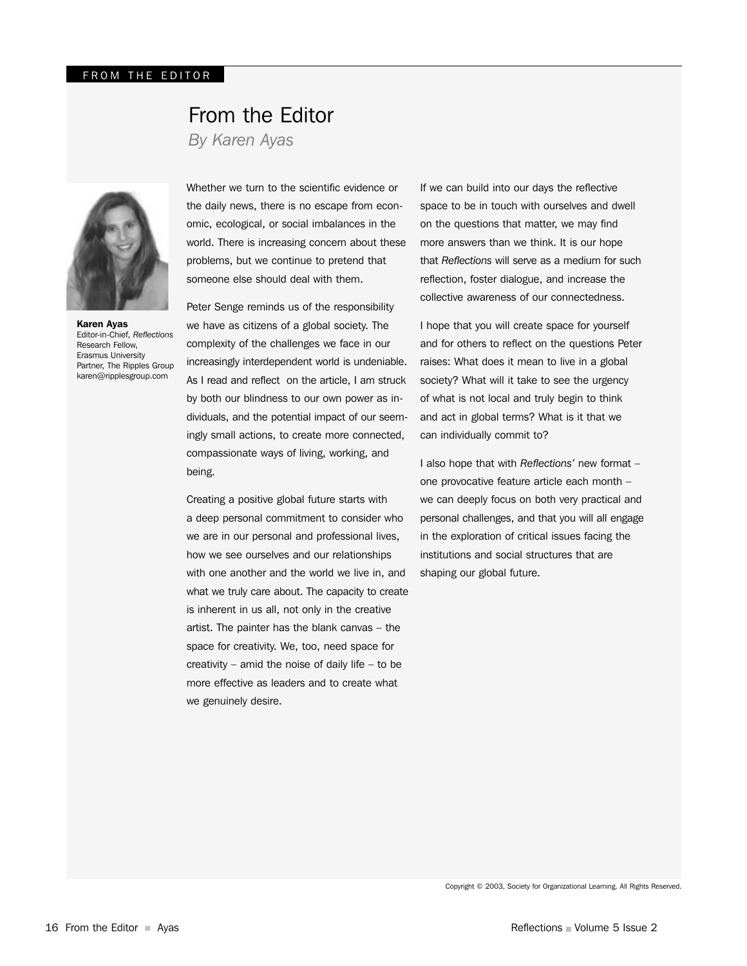# From the Editor

*By Karen Ayas*



Karen Ayas Editor-in-Chief, *Reflections* Research Fellow, Erasmus University Partner, The Ripples Group karen@ripplesgroup.com

Whether we turn to the scientific evidence or the daily news, there is no escape from economic, ecological, or social imbalances in the world. There is increasing concern about these problems, but we continue to pretend that someone else should deal with them.

Peter Senge reminds us of the responsibility we have as citizens of a global society. The complexity of the challenges we face in our increasingly interdependent world is undeniable. As I read and reflect on the article, I am struck by both our blindness to our own power as individuals, and the potential impact of our seemingly small actions, to create more connected, compassionate ways of living, working, and being.

Creating a positive global future starts with a deep personal commitment to consider who we are in our personal and professional lives, how we see ourselves and our relationships with one another and the world we live in, and what we truly care about. The capacity to create is inherent in us all, not only in the creative artist. The painter has the blank canvas – the space for creativity. We, too, need space for creativity – amid the noise of daily life – to be more effective as leaders and to create what we genuinely desire.

If we can build into our days the reflective space to be in touch with ourselves and dwell on the questions that matter, we may find more answers than we think. It is our hope that *Reflections* will serve as a medium for such reflection, foster dialogue, and increase the collective awareness of our connectedness.

I hope that you will create space for yourself and for others to reflect on the questions Peter raises: What does it mean to live in a global society? What will it take to see the urgency of what is not local and truly begin to think and act in global terms? What is it that we can individually commit to?

I also hope that with *Reflections'* new format – one provocative feature article each month – we can deeply focus on both very practical and personal challenges, and that you will all engage in the exploration of critical issues facing the institutions and social structures that are shaping our global future.